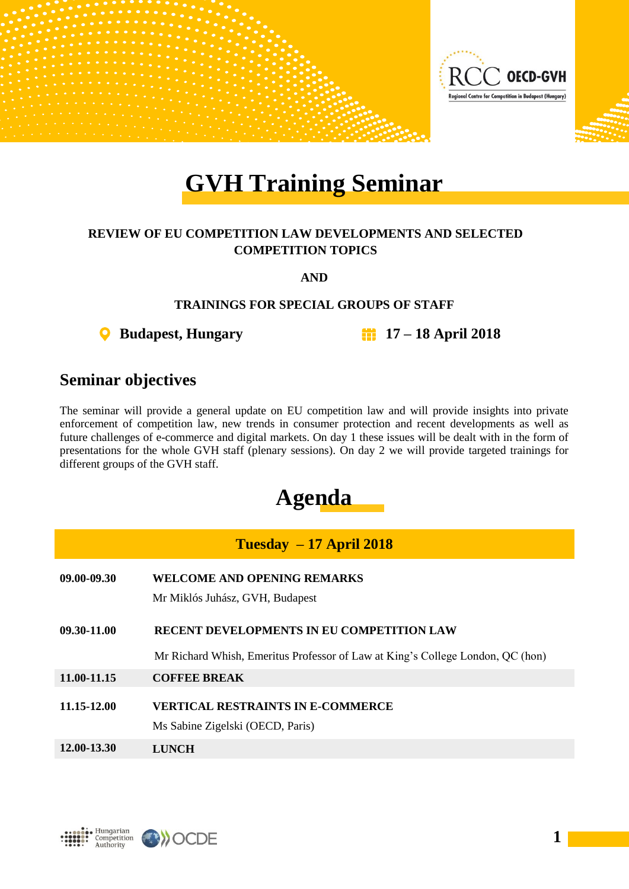

# **GVH Training Seminar**

#### **REVIEW OF EU COMPETITION LAW DEVELOPMENTS AND SELECTED COMPETITION TOPICS**

**AND**

#### **TRAININGS FOR SPECIAL GROUPS OF STAFF**

**Budapest, Hungary 17 – 18 April 2018**

### **Seminar objectives**

The seminar will provide a general update on EU competition law and will provide insights into private enforcement of competition law, new trends in consumer protection and recent developments as well as future challenges of e-commerce and digital markets. On day 1 these issues will be dealt with in the form of presentations for the whole GVH staff (plenary sessions). On day 2 we will provide targeted trainings for different groups of the GVH staff.

## **Agenda**

| $Tuesday - 17 April 2018$ |                                                                                |  |  |  |  |  |
|---------------------------|--------------------------------------------------------------------------------|--|--|--|--|--|
| 09.00-09.30               | <b>WELCOME AND OPENING REMARKS</b>                                             |  |  |  |  |  |
|                           | Mr Miklós Juhász, GVH, Budapest                                                |  |  |  |  |  |
| 09.30-11.00               | <b>RECENT DEVELOPMENTS IN EU COMPETITION LAW</b>                               |  |  |  |  |  |
|                           | Mr Richard Whish, Emeritus Professor of Law at King's College London, QC (hon) |  |  |  |  |  |
| 11.00-11.15               | <b>COFFEE BREAK</b>                                                            |  |  |  |  |  |
| 11.15-12.00               | VERTICAL RESTRAINTS IN E-COMMERCE                                              |  |  |  |  |  |
|                           | Ms Sabine Zigelski (OECD, Paris)                                               |  |  |  |  |  |
| 12.00-13.30               | LUNCH                                                                          |  |  |  |  |  |



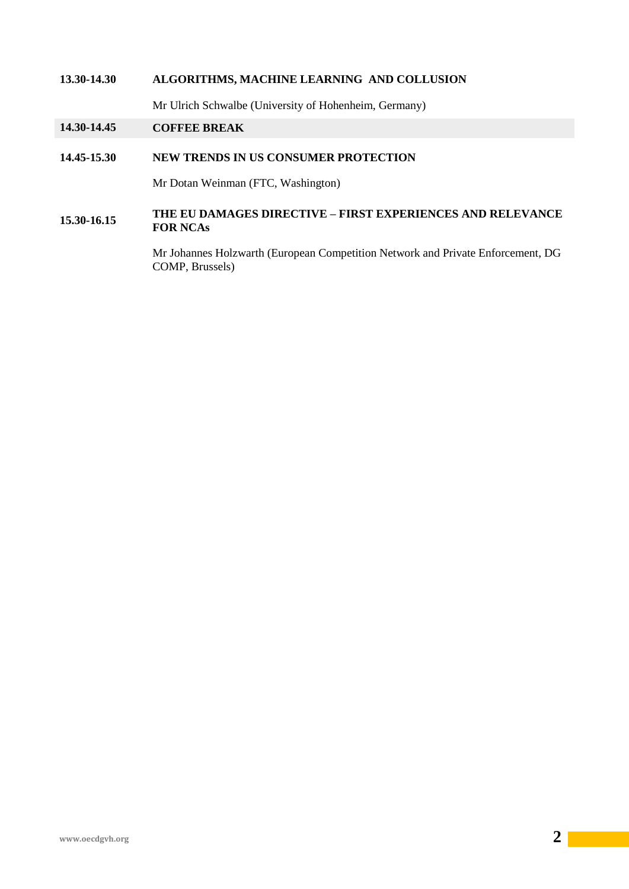#### **13.30-14.30 ALGORITHMS, MACHINE LEARNING AND COLLUSION**

Mr Ulrich Schwalbe (University of Hohenheim, Germany)

#### **14.30-14.45 COFFEE BREAK**

#### **14.45-15.30 NEW TRENDS IN US CONSUMER PROTECTION**

Mr Dotan Weinman (FTC, Washington)

#### **15.30-16.15 THE EU DAMAGES DIRECTIVE – FIRST EXPERIENCES AND RELEVANCE FOR NCAs**

Mr Johannes Holzwarth (European Competition Network and Private Enforcement, DG COMP, Brussels)